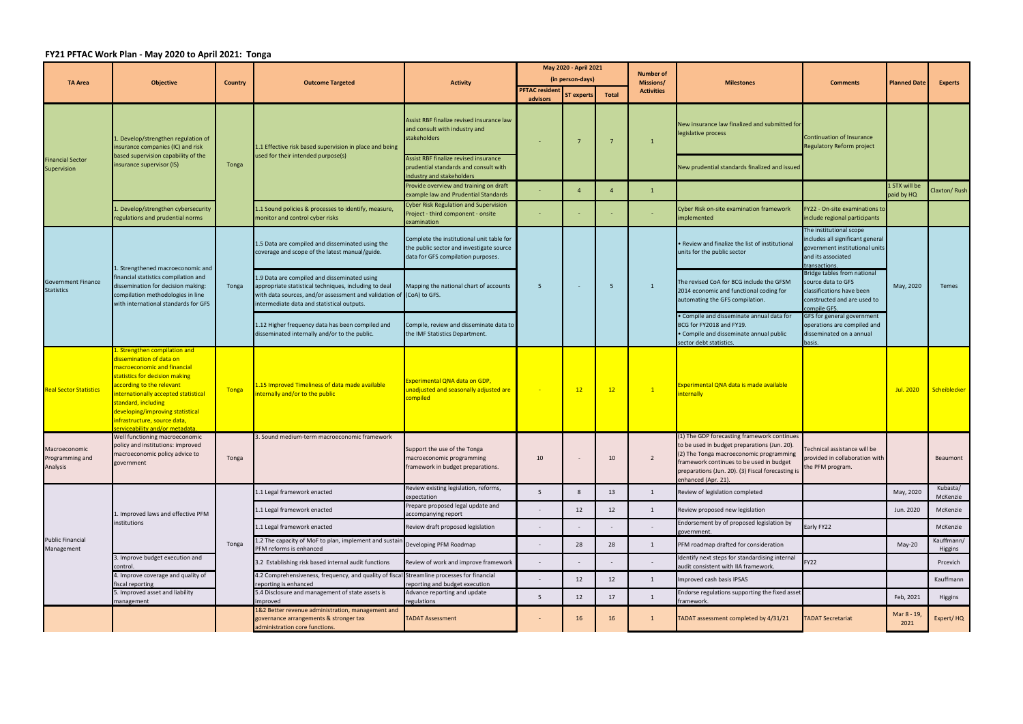## **FY21 PFTAC Work Plan ‐ May 2020 to April 2021: Tonga**

|                                                | <b>Objective</b>                                                                                                                                                                                                                                                                                                             | <b>Country</b> | <b>Outcome Targeted</b>                                                                                                                                                                                                     | <b>Activity</b>                                                                                                             | May 2020 - April 2021    |                |              | <b>Number of</b><br>Missions/ | <b>Milestones</b>                                                                                                                                                                                                                                              | <b>Comments</b>                                                                                                                                                                                                                                                                                                                                                          | <b>Planned Date</b>         | <b>Experts</b>        |
|------------------------------------------------|------------------------------------------------------------------------------------------------------------------------------------------------------------------------------------------------------------------------------------------------------------------------------------------------------------------------------|----------------|-----------------------------------------------------------------------------------------------------------------------------------------------------------------------------------------------------------------------------|-----------------------------------------------------------------------------------------------------------------------------|--------------------------|----------------|--------------|-------------------------------|----------------------------------------------------------------------------------------------------------------------------------------------------------------------------------------------------------------------------------------------------------------|--------------------------------------------------------------------------------------------------------------------------------------------------------------------------------------------------------------------------------------------------------------------------------------------------------------------------------------------------------------------------|-----------------------------|-----------------------|
| <b>TA Area</b>                                 |                                                                                                                                                                                                                                                                                                                              |                |                                                                                                                                                                                                                             |                                                                                                                             | (in person-days)         |                |              |                               |                                                                                                                                                                                                                                                                |                                                                                                                                                                                                                                                                                                                                                                          |                             |                       |
|                                                |                                                                                                                                                                                                                                                                                                                              |                |                                                                                                                                                                                                                             |                                                                                                                             | <b>PFTAC resident</b>    |                | <b>Total</b> | <b>Activities</b>             |                                                                                                                                                                                                                                                                |                                                                                                                                                                                                                                                                                                                                                                          |                             |                       |
|                                                |                                                                                                                                                                                                                                                                                                                              |                |                                                                                                                                                                                                                             |                                                                                                                             | advisors                 | ST experts     |              |                               |                                                                                                                                                                                                                                                                |                                                                                                                                                                                                                                                                                                                                                                          |                             |                       |
| <b>Financial Sector</b><br>Supervision         | Develop/strengthen regulation of<br>insurance companies (IC) and risk<br>based supervision capability of the<br>insurance supervisor (IS)                                                                                                                                                                                    | Tonga          | 1.1 Effective risk based supervision in place and being<br>used for their intended purpose(s)                                                                                                                               | Assist RBF finalize revised insurance law<br>and consult with industry and<br>stakeholders                                  |                          | -7             |              | $\mathbf{1}$                  | New insurance law finalized and submitted for<br>legislative process                                                                                                                                                                                           | <b>Continuation of Insurance</b><br>Regulatory Reform project                                                                                                                                                                                                                                                                                                            |                             |                       |
|                                                |                                                                                                                                                                                                                                                                                                                              |                |                                                                                                                                                                                                                             | Assist RBF finalize revised insurance<br>prudential standards and consult with<br>industry and stakeholders                 |                          |                |              |                               | New prudential standards finalized and issued                                                                                                                                                                                                                  |                                                                                                                                                                                                                                                                                                                                                                          |                             |                       |
|                                                |                                                                                                                                                                                                                                                                                                                              |                |                                                                                                                                                                                                                             | Provide overview and training on draft<br>example law and Prudential Standards                                              |                          | $\overline{a}$ |              | $\mathbf{1}$                  |                                                                                                                                                                                                                                                                |                                                                                                                                                                                                                                                                                                                                                                          | 1 STX will be<br>paid by HQ | Claxton/Rush          |
|                                                | Develop/strengthen cybersecurity<br>regulations and prudential norms                                                                                                                                                                                                                                                         |                | 1.1 Sound policies & processes to identify, measure,<br>monitor and control cyber risks                                                                                                                                     | Cyber Risk Regulation and Supervision<br>roject - third component - onsite<br>examination                                   |                          |                |              |                               | Cyber Risk on-site examination framework<br>implemented                                                                                                                                                                                                        | FY22 - On-site examinations to<br>include regional participants                                                                                                                                                                                                                                                                                                          |                             |                       |
| <b>Government Finance</b><br><b>Statistics</b> | 1. Strengthened macroeconomic and<br>financial statistics compilation and<br>dissemination for decision making:<br>compilation methodologies in line<br>with international standards for GFS                                                                                                                                 | Tonga          | 1.5 Data are compiled and disseminated using the<br>coverage and scope of the latest manual/guide.                                                                                                                          | Complete the institutional unit table for<br>the public sector and investigate source<br>data for GFS compilation purposes. | -5                       |                |              | $\mathbf{1}$                  | • Review and finalize the list of institutional<br>units for the public sector                                                                                                                                                                                 | The institutional scope<br>includes all significant general<br>government institutional units<br>and its associated<br>transactions.<br>Bridge tables from national<br>source data to GFS<br>classifications have been<br>constructed and are used to<br>compile GFS.<br>GFS for general government<br>operations are compiled and<br>disseminated on a annual<br>basis. | May, 2020                   | Temes                 |
|                                                |                                                                                                                                                                                                                                                                                                                              |                | 1.9 Data are compiled and disseminated using<br>appropriate statistical techniques, including to deal<br>with data sources, and/or assessment and validation of (CoA) to GFS.<br>intermediate data and statistical outputs. | Mapping the national chart of accounts                                                                                      |                          |                | -5           |                               | The revised CoA for BCG include the GFSM<br>2014 economic and functional coding for<br>automating the GFS compilation.                                                                                                                                         |                                                                                                                                                                                                                                                                                                                                                                          |                             |                       |
|                                                |                                                                                                                                                                                                                                                                                                                              |                | 1.12 Higher frequency data has been compiled and<br>disseminated internally and/or to the public.                                                                                                                           | Compile, review and disseminate data to<br>the IMF Statistics Department.                                                   |                          |                |              |                               | • Compile and disseminate annual data for<br>BCG for FY2018 and FY19.<br>• Compile and disseminate annual public<br>sector debt statistics.                                                                                                                    |                                                                                                                                                                                                                                                                                                                                                                          |                             |                       |
| <b>Real Sector Statistics</b>                  | L. Strengthen compilation and<br>dissemination of data on<br>macroeconomic and financial<br>statistics for decision making<br>according to the relevant<br>internationally accepted statistical<br>standard, including<br>developing/improving statistical<br>infrastructure, source data,<br>erviceability and/or metadata. | Tonga          | 1.15 Improved Timeliness of data made available<br>internally and/or to the public                                                                                                                                          | Experimental QNA data on GDP,<br>unadjusted and seasonally adjusted are<br>compiled                                         | $\sim$                   | 12             | 12           | $\sqrt{1}$                    | Experimental QNA data is made available<br>nternally                                                                                                                                                                                                           |                                                                                                                                                                                                                                                                                                                                                                          | Jul. 2020                   | Scheiblecker          |
| Macroeconomic<br>Programming and<br>Analysis   | Well functioning macroeconomic<br>policy and institutions: improved<br>macroeconomic policy advice to<br>government                                                                                                                                                                                                          | Tonga          | 3. Sound medium-term macroeconomic framework                                                                                                                                                                                | Support the use of the Tonga<br>macroeconomic programming<br>framework in budget preparations.                              | 10                       |                | 10           | $\overline{2}$                | (1) The GDP forecasting framework continues<br>to be used in budget preparations (Jun. 20).<br>(2) The Tonga macroeconomic programming<br>framework continues to be used in budget<br>preparations (Jun. 20). (3) Fiscal forecasting is<br>enhanced (Apr. 21). | Technical assistance will be<br>provided in collaboration with<br>the PFM program.                                                                                                                                                                                                                                                                                       |                             | Beaumont              |
| <b>Public Financial</b><br>Management          | . Improved laws and effective PFM<br>institutions                                                                                                                                                                                                                                                                            | Tonga          | 1.1 Legal framework enacted                                                                                                                                                                                                 | Review existing legislation, reforms,<br>expectation                                                                        | 5                        | 8              | 13           | 1                             | Review of legislation completed                                                                                                                                                                                                                                |                                                                                                                                                                                                                                                                                                                                                                          | May, 2020                   | Kubasta/<br>McKenzie  |
|                                                |                                                                                                                                                                                                                                                                                                                              |                | 1.1 Legal framework enacted                                                                                                                                                                                                 | Prepare proposed legal update and<br>ccompanying report                                                                     |                          | 12             | 12           | 1                             | Review proposed new legislation                                                                                                                                                                                                                                |                                                                                                                                                                                                                                                                                                                                                                          | Jun. 2020                   | McKenzie              |
|                                                |                                                                                                                                                                                                                                                                                                                              |                | 1.1 Legal framework enacted                                                                                                                                                                                                 | Review draft proposed legislation                                                                                           |                          |                |              | $\overline{\phantom{a}}$      | Endorsement by of proposed legislation by<br>र्overnment.                                                                                                                                                                                                      | Early FY22                                                                                                                                                                                                                                                                                                                                                               |                             | McKenzie              |
|                                                |                                                                                                                                                                                                                                                                                                                              |                | 1.2 The capacity of MoF to plan, implement and sustain<br>PFM reforms is enhanced                                                                                                                                           | Developing PFM Roadmap                                                                                                      | $\overline{\phantom{a}}$ | 28             | 28           | 1                             | PFM roadmap drafted for consideration                                                                                                                                                                                                                          |                                                                                                                                                                                                                                                                                                                                                                          | May-20                      | Kauffmann/<br>Higgins |
|                                                | 3. Improve budget execution and<br>control.                                                                                                                                                                                                                                                                                  |                | 3.2 Establishing risk based internal audit functions                                                                                                                                                                        | Review of work and improve framework                                                                                        | $\overline{\phantom{a}}$ |                |              |                               | Identify next steps for standardising internal<br>audit consistent with IIA framework.                                                                                                                                                                         | <b>FY22</b>                                                                                                                                                                                                                                                                                                                                                              |                             | Prcevich              |
|                                                | 4. Improve coverage and quality of<br>fiscal reporting                                                                                                                                                                                                                                                                       |                | 4.2 Comprehensiveness, frequency, and quality of fiscal Streamline processes for financial<br>reporting is enhanced                                                                                                         | reporting and budget execution                                                                                              | $\overline{\phantom{a}}$ | 12             | 12           | 1                             | Improved cash basis IPSAS                                                                                                                                                                                                                                      |                                                                                                                                                                                                                                                                                                                                                                          |                             | Kauffmann             |
|                                                | 5. Improved asset and liability<br>management                                                                                                                                                                                                                                                                                |                | 5.4 Disclosure and management of state assets is<br>mproved                                                                                                                                                                 | Advance reporting and update<br>egulations                                                                                  | 5                        | 12             | 17           | 1                             | Endorse regulations supporting the fixed asset<br>ramework.                                                                                                                                                                                                    |                                                                                                                                                                                                                                                                                                                                                                          | Feb, 2021                   | Higgins               |
|                                                |                                                                                                                                                                                                                                                                                                                              |                | 1&2 Better revenue administration, management and<br>governance arrangements & stronger tax<br>administration core functions.                                                                                               | <b>TADAT Assessment</b>                                                                                                     |                          | 16             | 16           |                               | FADAT assessment completed by 4/31/21                                                                                                                                                                                                                          | <b>FADAT Secretariat</b>                                                                                                                                                                                                                                                                                                                                                 | Mar 8 - 19,<br>2021         | Expert/HQ             |